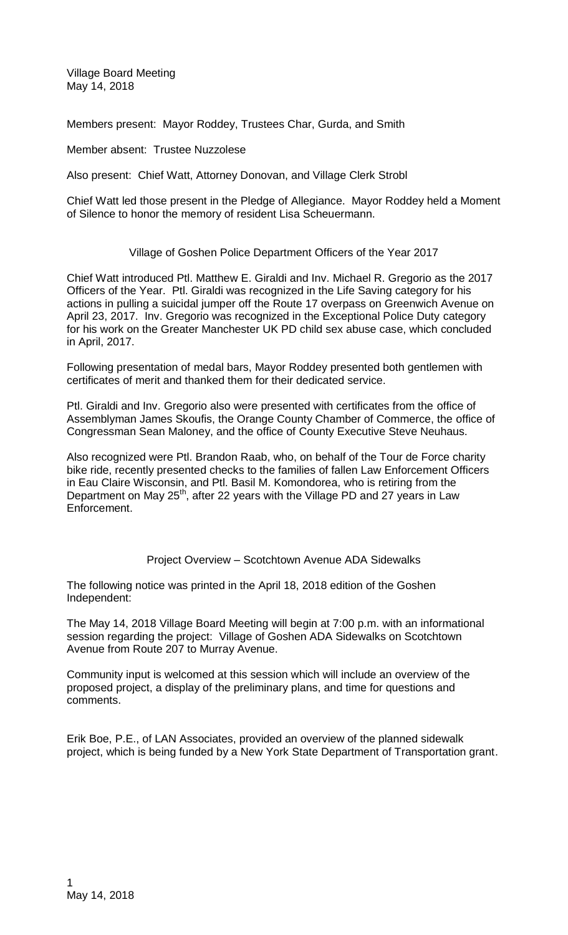Village Board Meeting May 14, 2018

Members present: Mayor Roddey, Trustees Char, Gurda, and Smith

Member absent: Trustee Nuzzolese

Also present: Chief Watt, Attorney Donovan, and Village Clerk Strobl

Chief Watt led those present in the Pledge of Allegiance. Mayor Roddey held a Moment of Silence to honor the memory of resident Lisa Scheuermann.

## Village of Goshen Police Department Officers of the Year 2017

Chief Watt introduced Ptl. Matthew E. Giraldi and Inv. Michael R. Gregorio as the 2017 Officers of the Year. Ptl. Giraldi was recognized in the Life Saving category for his actions in pulling a suicidal jumper off the Route 17 overpass on Greenwich Avenue on April 23, 2017. Inv. Gregorio was recognized in the Exceptional Police Duty category for his work on the Greater Manchester UK PD child sex abuse case, which concluded in April, 2017.

Following presentation of medal bars, Mayor Roddey presented both gentlemen with certificates of merit and thanked them for their dedicated service.

Ptl. Giraldi and Inv. Gregorio also were presented with certificates from the office of Assemblyman James Skoufis, the Orange County Chamber of Commerce, the office of Congressman Sean Maloney, and the office of County Executive Steve Neuhaus.

Also recognized were Ptl. Brandon Raab, who, on behalf of the Tour de Force charity bike ride, recently presented checks to the families of fallen Law Enforcement Officers in Eau Claire Wisconsin, and Ptl. Basil M. Komondorea, who is retiring from the Department on May 25<sup>th</sup>, after 22 years with the Village PD and 27 years in Law Enforcement.

Project Overview – Scotchtown Avenue ADA Sidewalks

The following notice was printed in the April 18, 2018 edition of the Goshen Independent:

The May 14, 2018 Village Board Meeting will begin at 7:00 p.m. with an informational session regarding the project: Village of Goshen ADA Sidewalks on Scotchtown Avenue from Route 207 to Murray Avenue.

Community input is welcomed at this session which will include an overview of the proposed project, a display of the preliminary plans, and time for questions and comments.

Erik Boe, P.E., of LAN Associates, provided an overview of the planned sidewalk project, which is being funded by a New York State Department of Transportation grant.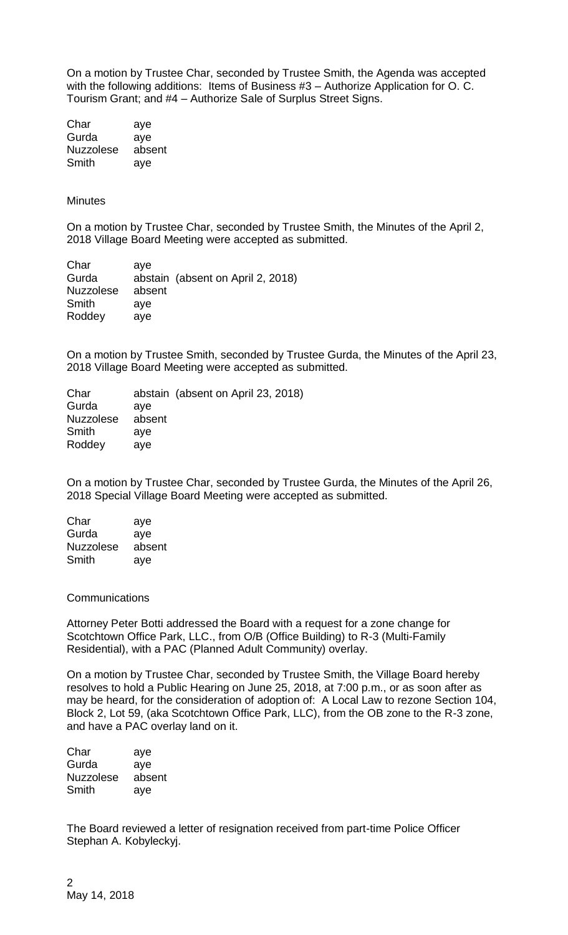On a motion by Trustee Char, seconded by Trustee Smith, the Agenda was accepted with the following additions: Items of Business #3 – Authorize Application for O. C. Tourism Grant; and #4 – Authorize Sale of Surplus Street Signs.

| Char             | aye    |
|------------------|--------|
| Gurda            | aye    |
| <b>Nuzzolese</b> | absent |
| Smith            | aye    |

## **Minutes**

On a motion by Trustee Char, seconded by Trustee Smith, the Minutes of the April 2, 2018 Village Board Meeting were accepted as submitted.

Char aye Gurda abstain (absent on April 2, 2018) Nuzzolese absent Smith aye Roddey aye

On a motion by Trustee Smith, seconded by Trustee Gurda, the Minutes of the April 23, 2018 Village Board Meeting were accepted as submitted.

|        | abstain (absent on April 23, 2018) |
|--------|------------------------------------|
| ave    |                                    |
| absent |                                    |
| ave    |                                    |
| ave    |                                    |
|        |                                    |

On a motion by Trustee Char, seconded by Trustee Gurda, the Minutes of the April 26, 2018 Special Village Board Meeting were accepted as submitted.

| Char             | aye    |
|------------------|--------|
| Gurda            | aye    |
| <b>Nuzzolese</b> | absent |
| Smith            | aye    |

## **Communications**

Attorney Peter Botti addressed the Board with a request for a zone change for Scotchtown Office Park, LLC., from O/B (Office Building) to R-3 (Multi-Family Residential), with a PAC (Planned Adult Community) overlay.

On a motion by Trustee Char, seconded by Trustee Smith, the Village Board hereby resolves to hold a Public Hearing on June 25, 2018, at 7:00 p.m., or as soon after as may be heard, for the consideration of adoption of: A Local Law to rezone Section 104, Block 2, Lot 59, (aka Scotchtown Office Park, LLC), from the OB zone to the R-3 zone, and have a PAC overlay land on it.

Char aye Gurda aye Nuzzolese absent Smith aye

The Board reviewed a letter of resignation received from part-time Police Officer Stephan A. Kobyleckyj.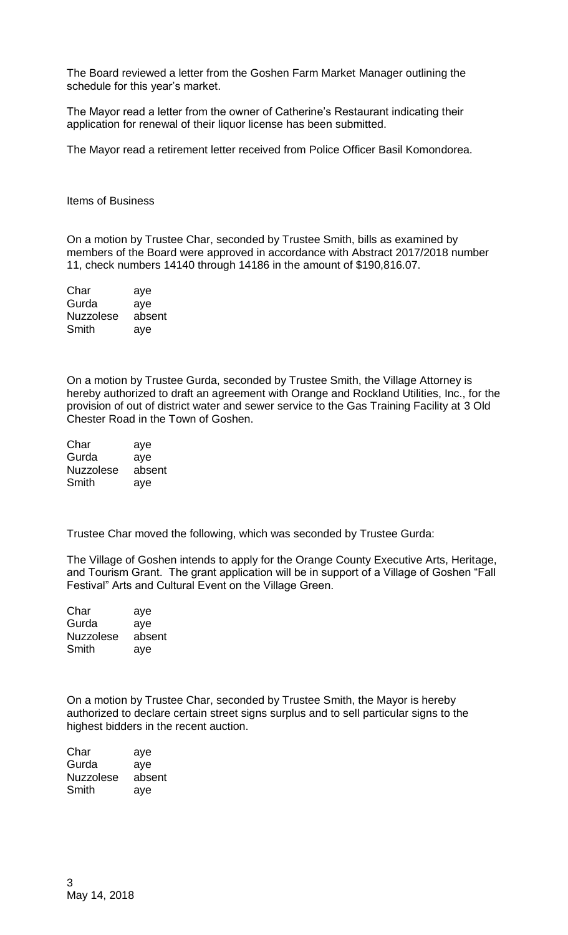The Board reviewed a letter from the Goshen Farm Market Manager outlining the schedule for this year's market.

The Mayor read a letter from the owner of Catherine's Restaurant indicating their application for renewal of their liquor license has been submitted.

The Mayor read a retirement letter received from Police Officer Basil Komondorea.

Items of Business

On a motion by Trustee Char, seconded by Trustee Smith, bills as examined by members of the Board were approved in accordance with Abstract 2017/2018 number 11, check numbers 14140 through 14186 in the amount of \$190,816.07.

| Char             | aye    |
|------------------|--------|
| Gurda            | aye    |
| <b>Nuzzolese</b> | absent |
| Smith            | aye    |

On a motion by Trustee Gurda, seconded by Trustee Smith, the Village Attorney is hereby authorized to draft an agreement with Orange and Rockland Utilities, Inc., for the provision of out of district water and sewer service to the Gas Training Facility at 3 Old Chester Road in the Town of Goshen.

| Char             | aye    |
|------------------|--------|
| Gurda            | ave    |
| <b>Nuzzolese</b> | absent |
| Smith            | aye    |

Trustee Char moved the following, which was seconded by Trustee Gurda:

The Village of Goshen intends to apply for the Orange County Executive Arts, Heritage, and Tourism Grant. The grant application will be in support of a Village of Goshen "Fall Festival" Arts and Cultural Event on the Village Green.

Char aye Gurda aye Nuzzolese absent Smith aye

On a motion by Trustee Char, seconded by Trustee Smith, the Mayor is hereby authorized to declare certain street signs surplus and to sell particular signs to the highest bidders in the recent auction.

Char aye Gurda aye Nuzzolese absent Smith aye